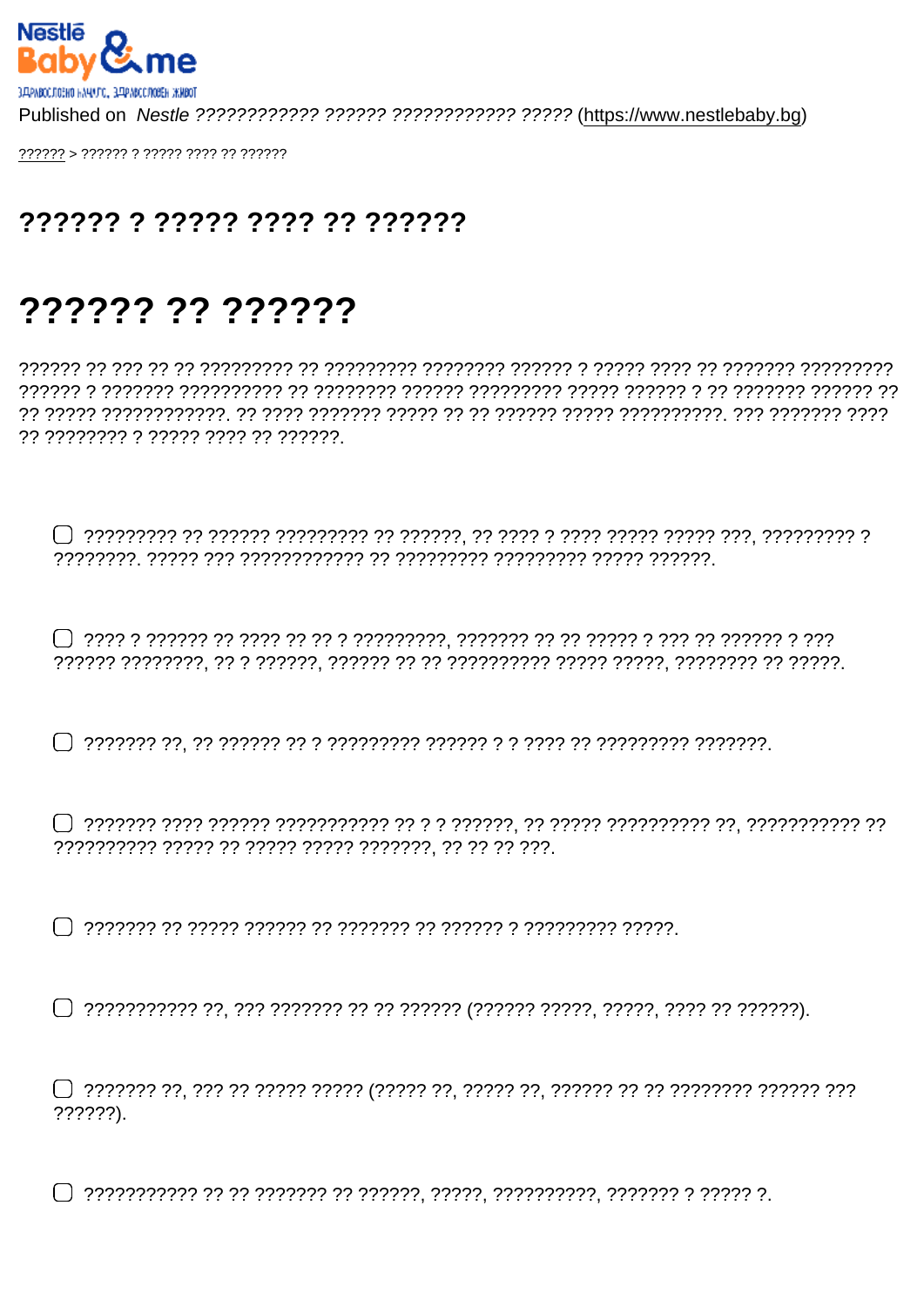?????? ?? ????? ???? ???????

## ?????? ?? ??????

?? ???????? ? ????? ???? ?? ??????.

 $??????$ ).